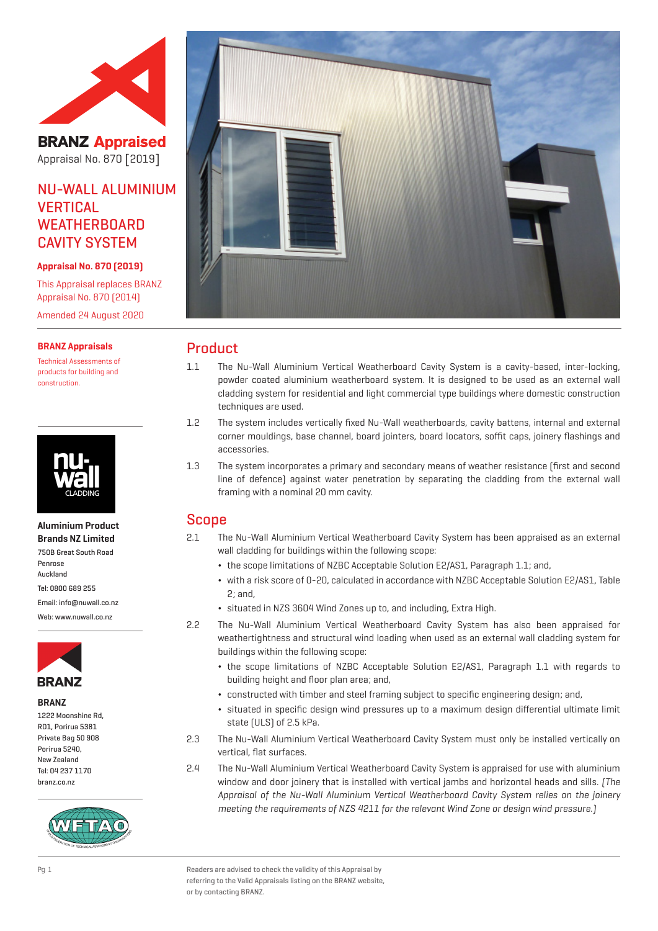

**BRANZ Appraised** Appraisal No. 870 [2019]

# NU-WALL ALUMINIUM **VERTICAL WEATHERBOARD** CAVITY SYSTEM

### **Appraisal No. 870 (2019)**

This Appraisal replaces BRANZ Appraisal No. 870 (2014) Amended 24 August 2020

### **BRANZ Appraisals**

Technical Assessments of products for building and construction.



**Aluminium Product Brands NZ Limited** 750B Great South Road Penrose Auckland Tel: 0800 689 255 Email: info@nuwall.co.nz Web: www.nuwall.co.nz



#### **BRANZ**

| 1222 Moonshine Rd, |
|--------------------|
| RD1. Porirua 5381  |
| Private Bag 50 908 |
| Porirua 5240.      |
| New 7ealand        |
| Tel: 04 237 1170   |
| branz.co.nz        |
|                    |





# Product

- 1.1 The Nu-Wall Aluminium Vertical Weatherboard Cavity System is a cavity-based, inter-locking, powder coated aluminium weatherboard system. It is designed to be used as an external wall cladding system for residential and light commercial type buildings where domestic construction techniques are used.
- 1.2 The system includes vertically fixed Nu-Wall weatherboards, cavity battens, internal and external corner mouldings, base channel, board jointers, board locators, soffit caps, joinery flashings and accessories.
- 1.3 The system incorporates a primary and secondary means of weather resistance (first and second line of defence) against water penetration by separating the cladding from the external wall framing with a nominal 20 mm cavity.

# Scope

- 2.1 The Nu-Wall Aluminium Vertical Weatherboard Cavity System has been appraised as an external wall cladding for buildings within the following scope:
	- ¬ the scope limitations of NZBC Acceptable Solution E2/AS1, Paragraph 1.1; and,
	- ¬ with a risk score of 0-20, calculated in accordance with NZBC Acceptable Solution E2/AS1, Table 2; and,
	- ¬ situated in NZS 3604 Wind Zones up to, and including, Extra High.
- 2.2 The Nu-Wall Aluminium Vertical Weatherboard Cavity System has also been appraised for weathertightness and structural wind loading when used as an external wall cladding system for buildings within the following scope:
	- ¬ the scope limitations of NZBC Acceptable Solution E2/AS1, Paragraph 1.1 with regards to building height and floor plan area; and,
	- ¬ constructed with timber and steel framing subject to specific engineering design; and,
	- ¬ situated in specific design wind pressures up to a maximum design differential ultimate limit state (ULS) of 2.5 kPa.
- 2.3 The Nu-Wall Aluminium Vertical Weatherboard Cavity System must only be installed vertically on vertical, flat surfaces.
- 2.4 The Nu-Wall Aluminium Vertical Weatherboard Cavity System is appraised for use with aluminium window and door joinery that is installed with vertical jambs and horizontal heads and sills. (The Appraisal of the Nu-Wall Aluminium Vertical Weatherboard Cavity System relies on the joinery meeting the requirements of NZS 4211 for the relevant Wind Zone or design wind pressure.)

Pg 1 Readers are advised to check the validity of this Appraisal by referring to the Valid Appraisals listing on the BRANZ website, or by contacting BRANZ.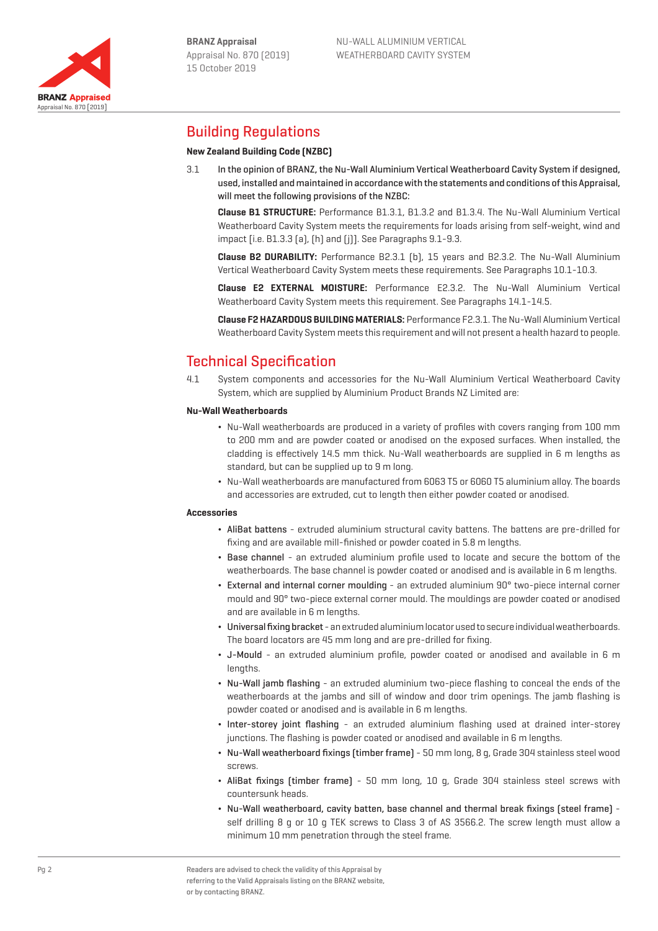

# Building Regulations

## **New Zealand Building Code (NZBC)**

3.1 In the opinion of BRANZ, the Nu-Wall Aluminium Vertical Weatherboard Cavity System if designed, used, installed and maintained in accordance with the statements and conditions of this Appraisal, will meet the following provisions of the NZBC:

**Clause B1 STRUCTURE:** Performance B1.3.1, B1.3.2 and B1.3.4. The Nu-Wall Aluminium Vertical Weatherboard Cavity System meets the requirements for loads arising from self-weight, wind and impact [i.e. B1.3.3 (a), (h) and (j)]. See Paragraphs 9.1-9.3.

**Clause B2 DURABILITY:** Performance B2.3.1 (b), 15 years and B2.3.2. The Nu-Wall Aluminium Vertical Weatherboard Cavity System meets these requirements. See Paragraphs 10.1-10.3.

**Clause E2 EXTERNAL MOISTURE:** Performance E2.3.2. The Nu-Wall Aluminium Vertical Weatherboard Cavity System meets this requirement. See Paragraphs 14.1-14.5.

**Clause F2 HAZARDOUS BUILDING MATERIALS:** Performance F2.3.1. The Nu-Wall Aluminium Vertical Weatherboard Cavity System meets this requirement and will not present a health hazard to people.

# Technical Specification

4.1 System components and accessories for the Nu-Wall Aluminium Vertical Weatherboard Cavity System, which are supplied by Aluminium Product Brands NZ Limited are:

### **Nu-Wall Weatherboards**

- ¬ Nu-Wall weatherboards are produced in a variety of profiles with covers ranging from 100 mm to 200 mm and are powder coated or anodised on the exposed surfaces. When installed, the cladding is effectively 14.5 mm thick. Nu-Wall weatherboards are supplied in 6 m lengths as standard, but can be supplied up to 9 m long.
- ¬ Nu-Wall weatherboards are manufactured from 6063 T5 or 6060 T5 aluminium alloy. The boards and accessories are extruded, cut to length then either powder coated or anodised.

#### **Accessories**

- ¬ AliBat battens extruded aluminium structural cavity battens. The battens are pre-drilled for fixing and are available mill-finished or powder coated in 5.8 m lengths.
- ¬ Base channel an extruded aluminium profile used to locate and secure the bottom of the weatherboards. The base channel is powder coated or anodised and is available in 6 m lengths.
- ¬ External and internal corner moulding an extruded aluminium 90° two-piece internal corner mould and 90° two-piece external corner mould. The mouldings are powder coated or anodised and are available in 6 m lengths.
- ¬ Universal fixing bracket an extruded aluminium locator used to secure individual weatherboards. The board locators are 45 mm long and are pre-drilled for fixing.
- ¬ J-Mould an extruded aluminium profile, powder coated or anodised and available in 6 m lengths.
- ¬ Nu-Wall jamb flashing an extruded aluminium two-piece flashing to conceal the ends of the weatherboards at the jambs and sill of window and door trim openings. The jamb flashing is powder coated or anodised and is available in 6 m lengths.
- ¬ Inter-storey joint flashing an extruded aluminium flashing used at drained inter-storey junctions. The flashing is powder coated or anodised and available in 6 m lengths.
- ¬ Nu-Wall weatherboard fixings (timber frame) 50 mm long, 8 g, Grade 304 stainless steel wood screws.
- ¬ AliBat fixings (timber frame) 50 mm long, 10 g, Grade 304 stainless steel screws with countersunk heads.
- ¬ Nu-Wall weatherboard, cavity batten, base channel and thermal break fixings (steel frame) self drilling 8 g or 10 g TEK screws to Class 3 of AS 3566.2. The screw length must allow a minimum 10 mm penetration through the steel frame.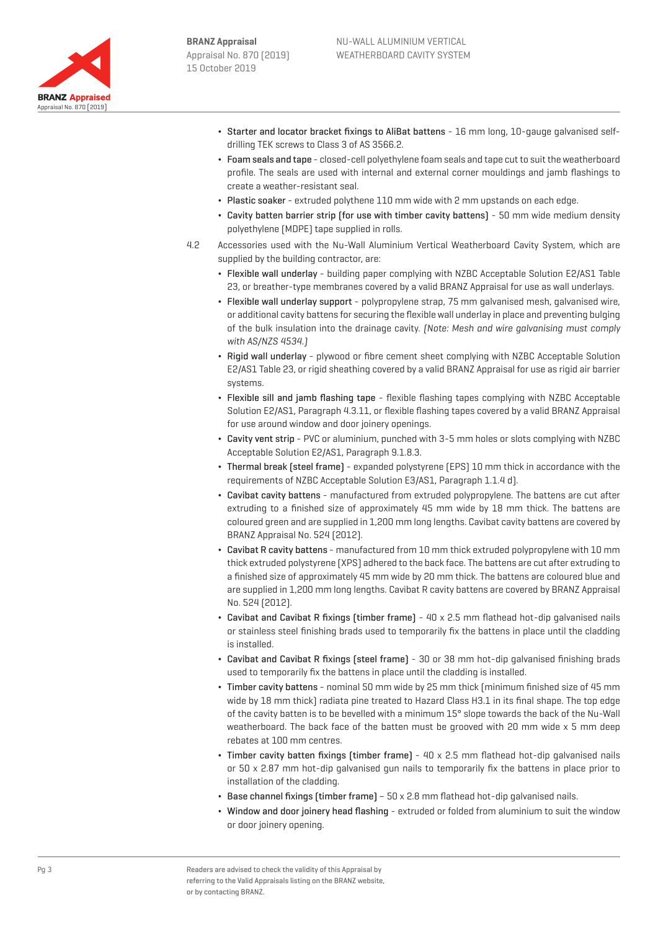

- ¬ Starter and locator bracket fixings to AliBat battens 16 mm long, 10-gauge galvanised selfdrilling TEK screws to Class 3 of AS 3566.2.
- ¬ Foam seals and tape closed-cell polyethylene foam seals and tape cut to suit the weatherboard profile. The seals are used with internal and external corner mouldings and jamb flashings to create a weather-resistant seal.
- ¬ Plastic soaker extruded polythene 110 mm wide with 2 mm upstands on each edge.
- ¬ Cavity batten barrier strip (for use with timber cavity battens) 50 mm wide medium density polyethylene (MDPE) tape supplied in rolls.
- 4.2 Accessories used with the Nu-Wall Aluminium Vertical Weatherboard Cavity System, which are supplied by the building contractor, are:
	- ¬ Flexible wall underlay building paper complying with NZBC Acceptable Solution E2/AS1 Table 23, or breather-type membranes covered by a valid BRANZ Appraisal for use as wall underlays.
	- ¬ Flexible wall underlay support polypropylene strap, 75 mm galvanised mesh, galvanised wire, or additional cavity battens for securing the flexible wall underlay in place and preventing bulging of the bulk insulation into the drainage cavity. (Note: Mesh and wire galvanising must comply with AS/NZS 4534.)
	- ¬ Rigid wall underlay plywood or fibre cement sheet complying with NZBC Acceptable Solution E2/AS1 Table 23, or rigid sheathing covered by a valid BRANZ Appraisal for use as rigid air barrier systems.
	- ¬ Flexible sill and jamb flashing tape flexible flashing tapes complying with NZBC Acceptable Solution E2/AS1, Paragraph 4.3.11, or flexible flashing tapes covered by a valid BRANZ Appraisal for use around window and door joinery openings.
	- ¬ Cavity vent strip PVC or aluminium, punched with 3-5 mm holes or slots complying with NZBC Acceptable Solution E2/AS1, Paragraph 9.1.8.3.
	- ¬ Thermal break (steel frame) expanded polystyrene (EPS) 10 mm thick in accordance with the requirements of NZBC Acceptable Solution E3/AS1, Paragraph 1.1.4 d).
	- ¬ Cavibat cavity battens manufactured from extruded polypropylene. The battens are cut after extruding to a finished size of approximately 45 mm wide by 18 mm thick. The battens are coloured green and are supplied in 1,200 mm long lengths. Cavibat cavity battens are covered by BRANZ Appraisal No. 524 (2012).
	- ¬ Cavibat R cavity battens manufactured from 10 mm thick extruded polypropylene with 10 mm thick extruded polystyrene (XPS) adhered to the back face. The battens are cut after extruding to a finished size of approximately 45 mm wide by 20 mm thick. The battens are coloured blue and are supplied in 1,200 mm long lengths. Cavibat R cavity battens are covered by BRANZ Appraisal No. 524 (2012).
	- ¬ Cavibat and Cavibat R fixings (timber frame) 40 x 2.5 mm flathead hot-dip galvanised nails or stainless steel finishing brads used to temporarily fix the battens in place until the cladding is installed.
	- ¬ Cavibat and Cavibat R fixings (steel frame) 30 or 38 mm hot-dip galvanised finishing brads used to temporarily fix the battens in place until the cladding is installed.
	- ¬ Timber cavity battens nominal 50 mm wide by 25 mm thick (minimum finished size of 45 mm wide by 18 mm thick) radiata pine treated to Hazard Class H3.1 in its final shape. The top edge of the cavity batten is to be bevelled with a minimum 15° slope towards the back of the Nu-Wall weatherboard. The back face of the batten must be grooved with 20 mm wide x 5 mm deep rebates at 100 mm centres.
	- ¬ Timber cavity batten fixings (timber frame) 40 x 2.5 mm flathead hot-dip galvanised nails or 50 x 2.87 mm hot-dip galvanised gun nails to temporarily fix the battens in place prior to installation of the cladding.
	- $\cdot$  Base channel fixings (timber frame) 50 x 2.8 mm flathead hot-dip qalvanised nails.
	- ¬ Window and door joinery head flashing extruded or folded from aluminium to suit the window or door joinery opening.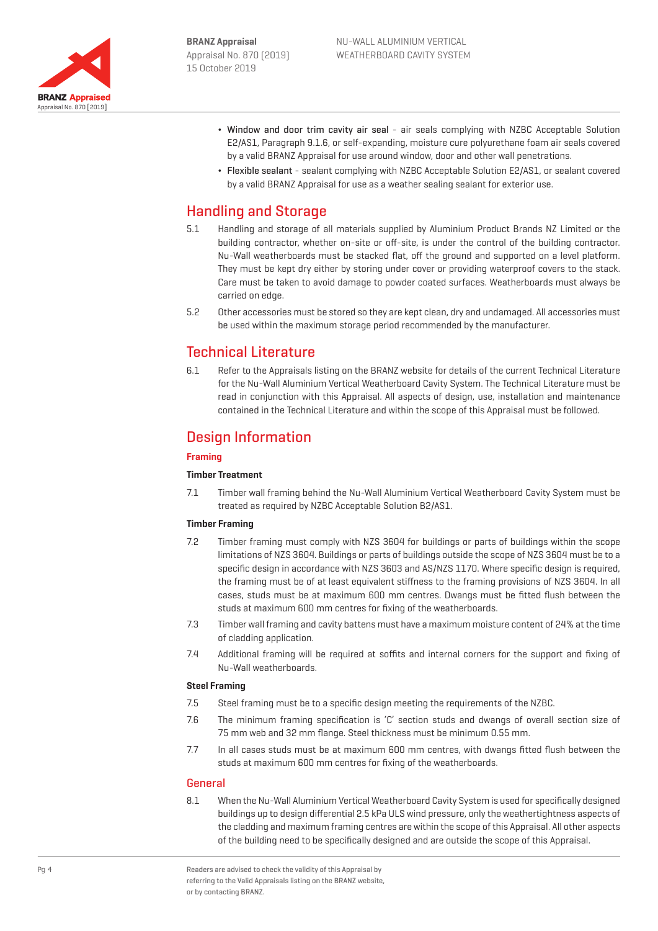

- ¬ Window and door trim cavity air seal air seals complying with NZBC Acceptable Solution E2/AS1, Paragraph 9.1.6, or self-expanding, moisture cure polyurethane foam air seals covered by a valid BRANZ Appraisal for use around window, door and other wall penetrations.
- ¬ Flexible sealant sealant complying with NZBC Acceptable Solution E2/AS1, or sealant covered by a valid BRANZ Appraisal for use as a weather sealing sealant for exterior use.

# Handling and Storage

- 5.1 Handling and storage of all materials supplied by Aluminium Product Brands NZ Limited or the building contractor, whether on-site or off-site, is under the control of the building contractor. Nu-Wall weatherboards must be stacked flat, off the ground and supported on a level platform. They must be kept dry either by storing under cover or providing waterproof covers to the stack. Care must be taken to avoid damage to powder coated surfaces. Weatherboards must always be carried on edge.
- 5.2 Other accessories must be stored so they are kept clean, dry and undamaged. All accessories must be used within the maximum storage period recommended by the manufacturer.

# Technical Literature

6.1 Refer to the Appraisals listing on the BRANZ website for details of the current Technical Literature for the Nu-Wall Aluminium Vertical Weatherboard Cavity System. The Technical Literature must be read in conjunction with this Appraisal. All aspects of design, use, installation and maintenance contained in the Technical Literature and within the scope of this Appraisal must be followed.

# Design Information

## **Framing**

## **Timber Treatment**

7.1 Timber wall framing behind the Nu-Wall Aluminium Vertical Weatherboard Cavity System must be treated as required by NZBC Acceptable Solution B2/AS1.

## **Timber Framing**

- 7.2 Timber framing must comply with NZS 3604 for buildings or parts of buildings within the scope limitations of NZS 3604. Buildings or parts of buildings outside the scope of NZS 3604 must be to a specific design in accordance with NZS 3603 and AS/NZS 1170. Where specific design is required, the framing must be of at least equivalent stiffness to the framing provisions of NZS 3604. In all cases, studs must be at maximum 600 mm centres. Dwangs must be fitted flush between the studs at maximum 600 mm centres for fixing of the weatherboards.
- 7.3 Timber wall framing and cavity battens must have a maximum moisture content of 24% at the time of cladding application.
- 7.4 Additional framing will be required at soffits and internal corners for the support and fixing of Nu-Wall weatherboards.

## **Steel Framing**

- 7.5 Steel framing must be to a specific design meeting the requirements of the NZBC.
- 7.6 The minimum framing specification is 'C' section studs and dwangs of overall section size of 75 mm web and 32 mm flange. Steel thickness must be minimum 0.55 mm.
- 7.7 In all cases studs must be at maximum 600 mm centres, with dwangs fitted flush between the studs at maximum 600 mm centres for fixing of the weatherboards.

## General

8.1 When the Nu-Wall Aluminium Vertical Weatherboard Cavity System is used for specifically designed buildings up to design differential 2.5 kPa ULS wind pressure, only the weathertightness aspects of the cladding and maximum framing centres are within the scope of this Appraisal. All other aspects of the building need to be specifically designed and are outside the scope of this Appraisal.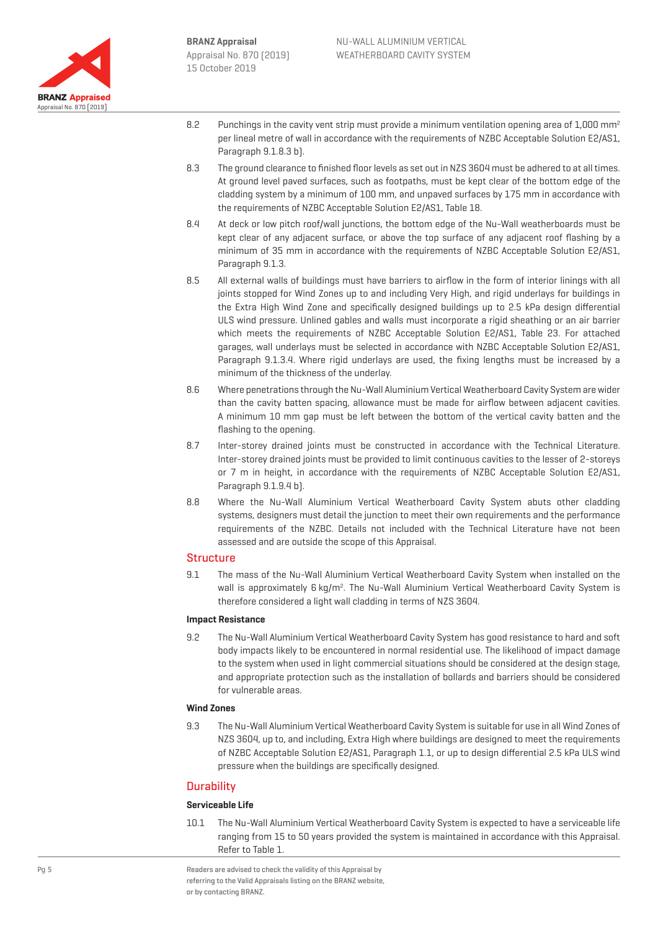

- 8.2 Punchings in the cavity vent strip must provide a minimum ventilation opening area of 1,000 mm<sup>2</sup> per lineal metre of wall in accordance with the requirements of NZBC Acceptable Solution E2/AS1, Paragraph 9.1.8.3 b).
- 8.3 The ground clearance to finished floor levels as set out in NZS 3604 must be adhered to at all times. At ground level paved surfaces, such as footpaths, must be kept clear of the bottom edge of the cladding system by a minimum of 100 mm, and unpaved surfaces by 175 mm in accordance with the requirements of NZBC Acceptable Solution E2/AS1, Table 18.
- 8.4 At deck or low pitch roof/wall junctions, the bottom edge of the Nu-Wall weatherboards must be kept clear of any adjacent surface, or above the top surface of any adjacent roof flashing by a minimum of 35 mm in accordance with the requirements of NZBC Acceptable Solution E2/AS1, Paragraph 9.1.3.
- 8.5 All external walls of buildings must have barriers to airflow in the form of interior linings with all joints stopped for Wind Zones up to and including Very High, and rigid underlays for buildings in the Extra High Wind Zone and specifically designed buildings up to 2.5 kPa design differential ULS wind pressure. Unlined gables and walls must incorporate a rigid sheathing or an air barrier which meets the requirements of NZBC Acceptable Solution E2/AS1, Table 23. For attached garages, wall underlays must be selected in accordance with NZBC Acceptable Solution E2/AS1, Paragraph 9.1.3.4. Where rigid underlays are used, the fixing lengths must be increased by a minimum of the thickness of the underlay.
- 8.6 Where penetrations through the Nu-Wall Aluminium Vertical Weatherboard Cavity System are wider than the cavity batten spacing, allowance must be made for airflow between adjacent cavities. A minimum 10 mm gap must be left between the bottom of the vertical cavity batten and the flashing to the opening.
- 8.7 Inter-storey drained joints must be constructed in accordance with the Technical Literature. Inter-storey drained joints must be provided to limit continuous cavities to the lesser of 2-storeys or 7 m in height, in accordance with the requirements of NZBC Acceptable Solution E2/AS1, Paragraph 9.1.9.4 b).
- 8.8 Where the Nu-Wall Aluminium Vertical Weatherboard Cavity System abuts other cladding systems, designers must detail the junction to meet their own requirements and the performance requirements of the NZBC. Details not included with the Technical Literature have not been assessed and are outside the scope of this Appraisal.

## **Structure**

9.1 The mass of the Nu-Wall Aluminium Vertical Weatherboard Cavity System when installed on the wall is approximately 6 kg/m<sup>2</sup>. The Nu-Wall Aluminium Vertical Weatherboard Cavity System is therefore considered a light wall cladding in terms of NZS 3604.

#### **Impact Resistance**

9.2 The Nu-Wall Aluminium Vertical Weatherboard Cavity System has good resistance to hard and soft body impacts likely to be encountered in normal residential use. The likelihood of impact damage to the system when used in light commercial situations should be considered at the design stage, and appropriate protection such as the installation of bollards and barriers should be considered for vulnerable areas.

### **Wind Zones**

9.3 The Nu-Wall Aluminium Vertical Weatherboard Cavity System is suitable for use in all Wind Zones of NZS 3604, up to, and including, Extra High where buildings are designed to meet the requirements of NZBC Acceptable Solution E2/AS1, Paragraph 1.1, or up to design differential 2.5 kPa ULS wind pressure when the buildings are specifically designed.

## **Durability**

### **Serviceable Life**

10.1 The Nu-Wall Aluminium Vertical Weatherboard Cavity System is expected to have a serviceable life ranging from 15 to 50 years provided the system is maintained in accordance with this Appraisal. Refer to Table 1.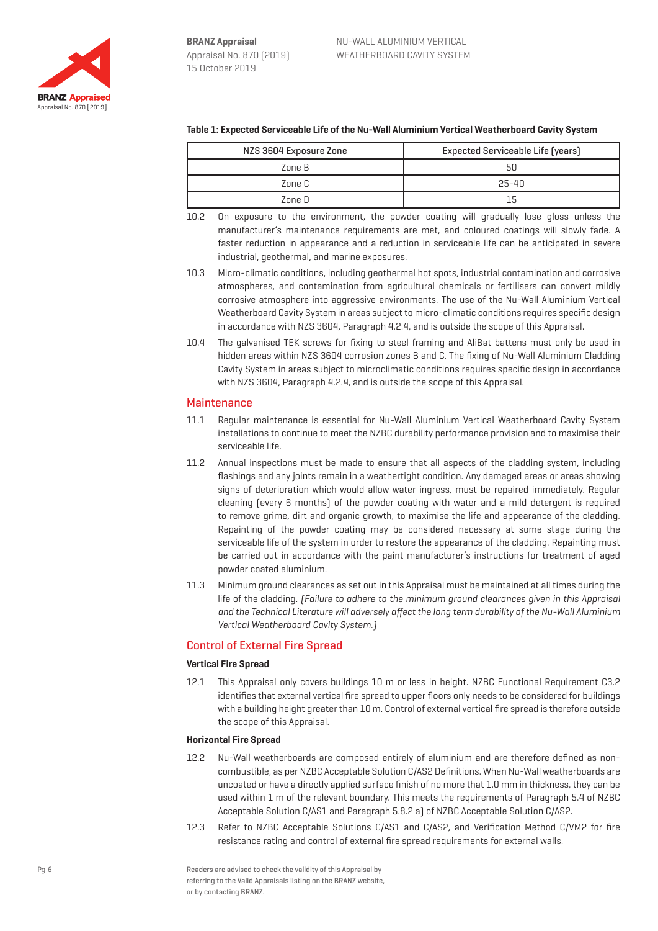

|  | NZS 3604 Exposure Zone | Expected Serviceable Life (years) |
|--|------------------------|-----------------------------------|
|  | Zone B                 |                                   |
|  | Zone C                 | $25 - 40$                         |
|  | 7nne N                 |                                   |

- **Table 1: Expected Serviceable Life of the Nu-Wall Aluminium Vertical Weatherboard Cavity System**
- 10.2 On exposure to the environment, the powder coating will gradually lose gloss unless the manufacturer's maintenance requirements are met, and coloured coatings will slowly fade. A faster reduction in appearance and a reduction in serviceable life can be anticipated in severe industrial, geothermal, and marine exposures.
- 10.3 Micro-climatic conditions, including geothermal hot spots, industrial contamination and corrosive atmospheres, and contamination from agricultural chemicals or fertilisers can convert mildly corrosive atmosphere into aggressive environments. The use of the Nu-Wall Aluminium Vertical Weatherboard Cavity System in areas subject to micro-climatic conditions requires specific design in accordance with NZS 3604, Paragraph 4.2.4, and is outside the scope of this Appraisal.
- 10.4 The galvanised TEK screws for fixing to steel framing and AliBat battens must only be used in hidden areas within NZS 3604 corrosion zones B and C. The fixing of Nu-Wall Aluminium Cladding Cavity System in areas subject to microclimatic conditions requires specific design in accordance with NZS 3604, Paragraph 4.2.4, and is outside the scope of this Appraisal.

# **Maintenance**

- 11.1 Regular maintenance is essential for Nu-Wall Aluminium Vertical Weatherboard Cavity System installations to continue to meet the NZBC durability performance provision and to maximise their serviceable life.
- 11.2 Annual inspections must be made to ensure that all aspects of the cladding system, including flashings and any joints remain in a weathertight condition. Any damaged areas or areas showing signs of deterioration which would allow water ingress, must be repaired immediately. Regular cleaning (every 6 months) of the powder coating with water and a mild detergent is required to remove grime, dirt and organic growth, to maximise the life and appearance of the cladding. Repainting of the powder coating may be considered necessary at some stage during the serviceable life of the system in order to restore the appearance of the cladding. Repainting must be carried out in accordance with the paint manufacturer's instructions for treatment of aged powder coated aluminium.
- 11.3 Minimum ground clearances as set out in this Appraisal must be maintained at all times during the life of the cladding. (Failure to adhere to the minimum ground clearances given in this Appraisal and the Technical Literature will adversely affect the long term durability of the Nu-Wall Aluminium Vertical Weatherboard Cavity System.)

# Control of External Fire Spread

## **Vertical Fire Spread**

12.1 This Appraisal only covers buildings 10 m or less in height. NZBC Functional Requirement C3.2 identifies that external vertical fire spread to upper floors only needs to be considered for buildings with a building height greater than 10 m. Control of external vertical fire spread is therefore outside the scope of this Appraisal.

## **Horizontal Fire Spread**

- 12.2 Nu-Wall weatherboards are composed entirely of aluminium and are therefore defined as noncombustible, as per NZBC Acceptable Solution C/AS2 Definitions. When Nu-Wall weatherboards are uncoated or have a directly applied surface finish of no more that 1.0 mm in thickness, they can be used within 1 m of the relevant boundary. This meets the requirements of Paragraph 5.4 of NZBC Acceptable Solution C/AS1 and Paragraph 5.8.2 a) of NZBC Acceptable Solution C/AS2.
- 12.3 Refer to NZBC Acceptable Solutions C/AS1 and C/AS2, and Verification Method C/VM2 for fire resistance rating and control of external fire spread requirements for external walls.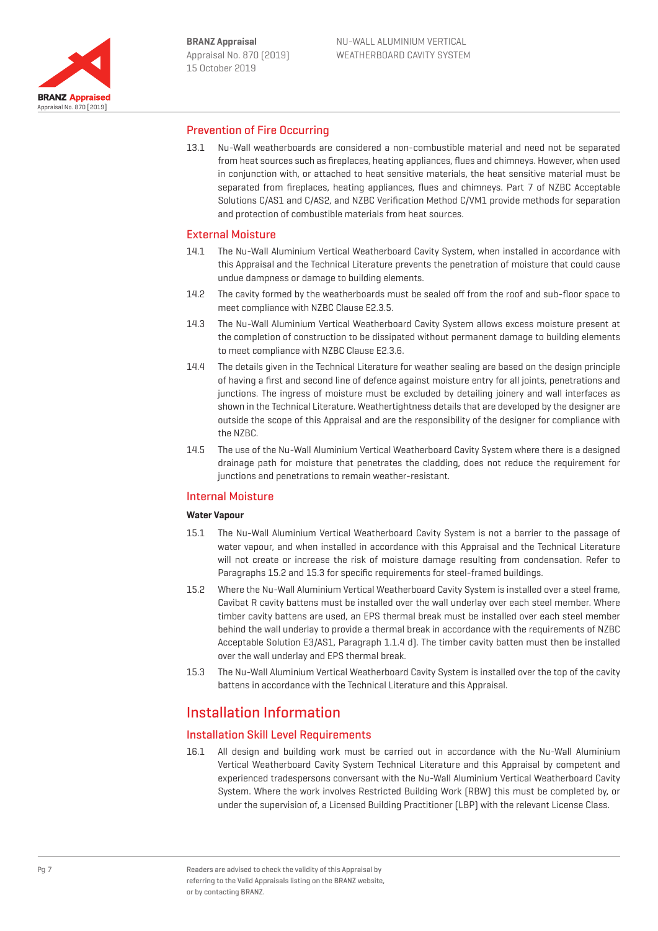

## Prevention of Fire Occurring

13.1 Nu-Wall weatherboards are considered a non-combustible material and need not be separated from heat sources such as fireplaces, heating appliances, flues and chimneys. However, when used in conjunction with, or attached to heat sensitive materials, the heat sensitive material must be separated from fireplaces, heating appliances, flues and chimneys. Part 7 of NZBC Acceptable Solutions C/AS1 and C/AS2, and NZBC Verification Method C/VM1 provide methods for separation and protection of combustible materials from heat sources.

#### External Moisture

- 14.1 The Nu-Wall Aluminium Vertical Weatherboard Cavity System, when installed in accordance with this Appraisal and the Technical Literature prevents the penetration of moisture that could cause undue dampness or damage to building elements.
- 14.2 The cavity formed by the weatherboards must be sealed off from the roof and sub-floor space to meet compliance with NZBC Clause E2.3.5.
- 14.3 The Nu-Wall Aluminium Vertical Weatherboard Cavity System allows excess moisture present at the completion of construction to be dissipated without permanent damage to building elements to meet compliance with NZBC Clause E2.3.6.
- 14.4 The details given in the Technical Literature for weather sealing are based on the design principle of having a first and second line of defence against moisture entry for all joints, penetrations and junctions. The ingress of moisture must be excluded by detailing joinery and wall interfaces as shown in the Technical Literature. Weathertightness details that are developed by the designer are outside the scope of this Appraisal and are the responsibility of the designer for compliance with the NZBC.
- 14.5 The use of the Nu-Wall Aluminium Vertical Weatherboard Cavity System where there is a designed drainage path for moisture that penetrates the cladding, does not reduce the requirement for junctions and penetrations to remain weather-resistant.

### Internal Moisture

#### **Water Vapour**

- 15.1 The Nu-Wall Aluminium Vertical Weatherboard Cavity System is not a barrier to the passage of water vapour, and when installed in accordance with this Appraisal and the Technical Literature will not create or increase the risk of moisture damage resulting from condensation. Refer to Paragraphs 15.2 and 15.3 for specific requirements for steel-framed buildings.
- 15.2 Where the Nu-Wall Aluminium Vertical Weatherboard Cavity System is installed over a steel frame, Cavibat R cavity battens must be installed over the wall underlay over each steel member. Where timber cavity battens are used, an EPS thermal break must be installed over each steel member behind the wall underlay to provide a thermal break in accordance with the requirements of NZBC Acceptable Solution E3/AS1, Paragraph 1.1.4 d). The timber cavity batten must then be installed over the wall underlay and EPS thermal break.
- 15.3 The Nu-Wall Aluminium Vertical Weatherboard Cavity System is installed over the top of the cavity battens in accordance with the Technical Literature and this Appraisal.

# Installation Information

## Installation Skill Level Requirements

16.1 All design and building work must be carried out in accordance with the Nu-Wall Aluminium Vertical Weatherboard Cavity System Technical Literature and this Appraisal by competent and experienced tradespersons conversant with the Nu-Wall Aluminium Vertical Weatherboard Cavity System. Where the work involves Restricted Building Work (RBW) this must be completed by, or under the supervision of, a Licensed Building Practitioner (LBP) with the relevant License Class.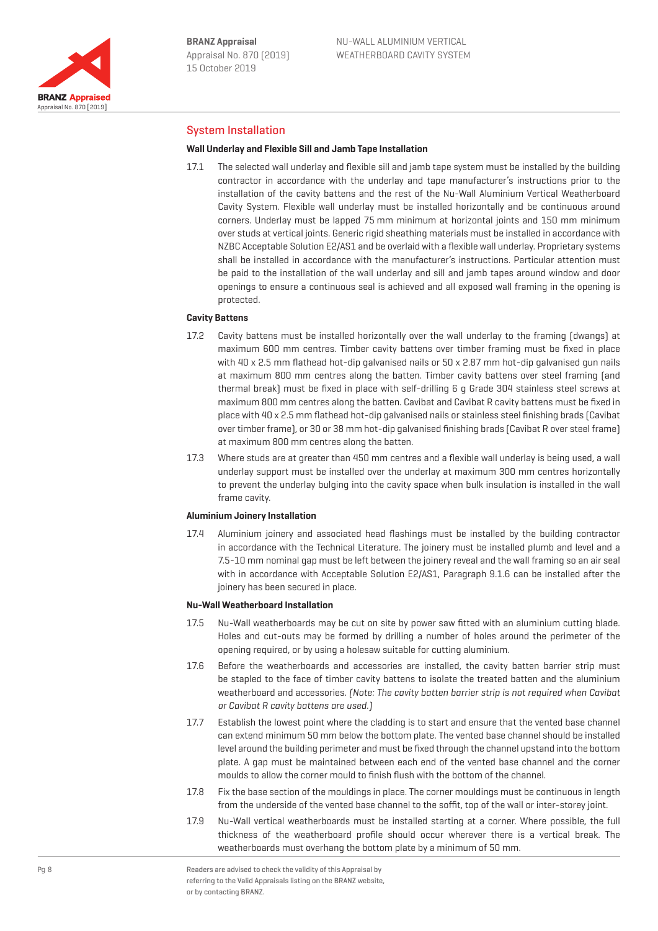

# System Installation

#### **Wall Underlay and Flexible Sill and Jamb Tape Installation**

17.1 The selected wall underlay and flexible sill and jamb tape system must be installed by the building contractor in accordance with the underlay and tape manufacturer's instructions prior to the installation of the cavity battens and the rest of the Nu-Wall Aluminium Vertical Weatherboard Cavity System. Flexible wall underlay must be installed horizontally and be continuous around corners. Underlay must be lapped 75 mm minimum at horizontal joints and 150 mm minimum over studs at vertical joints. Generic rigid sheathing materials must be installed in accordance with NZBC Acceptable Solution E2/AS1 and be overlaid with a flexible wall underlay. Proprietary systems shall be installed in accordance with the manufacturer's instructions. Particular attention must be paid to the installation of the wall underlay and sill and jamb tapes around window and door openings to ensure a continuous seal is achieved and all exposed wall framing in the opening is protected.

#### **Cavity Battens**

- 17.2 Cavity battens must be installed horizontally over the wall underlay to the framing (dwangs) at maximum 600 mm centres. Timber cavity battens over timber framing must be fixed in place with 40 x 2.5 mm flathead hot-dip galvanised nails or 50 x 2.87 mm hot-dip galvanised gun nails at maximum 800 mm centres along the batten. Timber cavity battens over steel framing (and thermal break) must be fixed in place with self-drilling 6 g Grade 304 stainless steel screws at maximum 800 mm centres along the batten. Cavibat and Cavibat R cavity battens must be fixed in place with 40 x 2.5 mm flathead hot-dip galvanised nails or stainless steel finishing brads (Cavibat over timber frame), or 30 or 38 mm hot-dip galvanised finishing brads (Cavibat R over steel frame) at maximum 800 mm centres along the batten.
- 17.3 Where studs are at greater than 450 mm centres and a flexible wall underlay is being used, a wall underlay support must be installed over the underlay at maximum 300 mm centres horizontally to prevent the underlay bulging into the cavity space when bulk insulation is installed in the wall frame cavity.

#### **Aluminium Joinery Installation**

17.4 Aluminium joinery and associated head flashings must be installed by the building contractor in accordance with the Technical Literature. The joinery must be installed plumb and level and a 7.5-10 mm nominal gap must be left between the joinery reveal and the wall framing so an air seal with in accordance with Acceptable Solution E2/AS1, Paragraph 9.1.6 can be installed after the joinery has been secured in place.

#### **Nu-Wall Weatherboard Installation**

- 17.5 Nu-Wall weatherboards may be cut on site by power saw fitted with an aluminium cutting blade. Holes and cut-outs may be formed by drilling a number of holes around the perimeter of the opening required, or by using a holesaw suitable for cutting aluminium.
- 17.6 Before the weatherboards and accessories are installed, the cavity batten barrier strip must be stapled to the face of timber cavity battens to isolate the treated batten and the aluminium weatherboard and accessories. (Note: The cavity batten barrier strip is not required when Cavibat or Cavibat R cavity battens are used.)
- 17.7 Establish the lowest point where the cladding is to start and ensure that the vented base channel can extend minimum 50 mm below the bottom plate. The vented base channel should be installed level around the building perimeter and must be fixed through the channel upstand into the bottom plate. A gap must be maintained between each end of the vented base channel and the corner moulds to allow the corner mould to finish flush with the bottom of the channel.
- 17.8 Fix the base section of the mouldings in place. The corner mouldings must be continuous in length from the underside of the vented base channel to the soffit, top of the wall or inter-storey joint.
- 17.9 Nu-Wall vertical weatherboards must be installed starting at a corner. Where possible, the full thickness of the weatherboard profile should occur wherever there is a vertical break. The weatherboards must overhang the bottom plate by a minimum of 50 mm.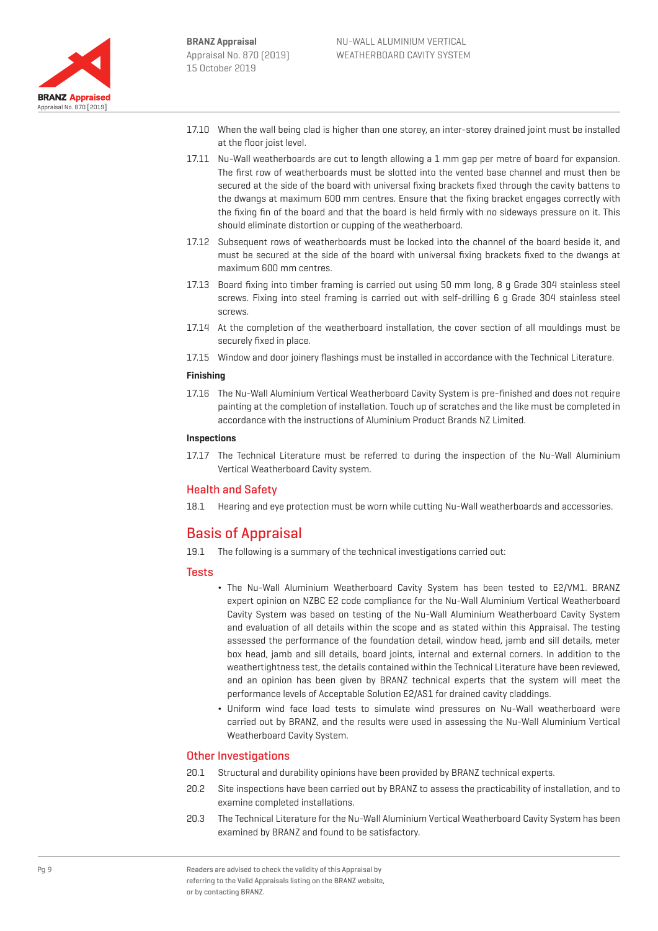

- 17.10 When the wall being clad is higher than one storey, an inter-storey drained joint must be installed at the floor joist level.
- 17.11 Nu-Wall weatherboards are cut to length allowing a 1 mm gap per metre of board for expansion. The first row of weatherboards must be slotted into the vented base channel and must then be secured at the side of the board with universal fixing brackets fixed through the cavity battens to the dwangs at maximum 600 mm centres. Ensure that the fixing bracket engages correctly with the fixing fin of the board and that the board is held firmly with no sideways pressure on it. This should eliminate distortion or cupping of the weatherboard.
- 17.12 Subsequent rows of weatherboards must be locked into the channel of the board beside it, and must be secured at the side of the board with universal fixing brackets fixed to the dwangs at maximum 600 mm centres.
- 17.13 Board fixing into timber framing is carried out using 50 mm long, 8 g Grade 304 stainless steel screws. Fixing into steel framing is carried out with self-drilling 6 g Grade 304 stainless steel screws.
- 17.14 At the completion of the weatherboard installation, the cover section of all mouldings must be securely fixed in place.
- 17.15 Window and door joinery flashings must be installed in accordance with the Technical Literature.

### **Finishing**

17.16 The Nu-Wall Aluminium Vertical Weatherboard Cavity System is pre-finished and does not require painting at the completion of installation. Touch up of scratches and the like must be completed in accordance with the instructions of Aluminium Product Brands NZ Limited.

### **Inspections**

17.17 The Technical Literature must be referred to during the inspection of the Nu-Wall Aluminium Vertical Weatherboard Cavity system.

# Health and Safety

18.1 Hearing and eye protection must be worn while cutting Nu-Wall weatherboards and accessories.

# Basis of Appraisal

19.1 The following is a summary of the technical investigations carried out:

## **Tests**

- ¬ The Nu-Wall Aluminium Weatherboard Cavity System has been tested to E2/VM1. BRANZ expert opinion on NZBC E2 code compliance for the Nu-Wall Aluminium Vertical Weatherboard Cavity System was based on testing of the Nu-Wall Aluminium Weatherboard Cavity System and evaluation of all details within the scope and as stated within this Appraisal. The testing assessed the performance of the foundation detail, window head, jamb and sill details, meter box head, jamb and sill details, board joints, internal and external corners. In addition to the weathertightness test, the details contained within the Technical Literature have been reviewed, and an opinion has been given by BRANZ technical experts that the system will meet the performance levels of Acceptable Solution E2/AS1 for drained cavity claddings.
- ¬ Uniform wind face load tests to simulate wind pressures on Nu-Wall weatherboard were carried out by BRANZ, and the results were used in assessing the Nu-Wall Aluminium Vertical Weatherboard Cavity System.

# Other Investigations

- 20.1 Structural and durability opinions have been provided by BRANZ technical experts.
- 20.2 Site inspections have been carried out by BRANZ to assess the practicability of installation, and to examine completed installations.
- 20.3 The Technical Literature for the Nu-Wall Aluminium Vertical Weatherboard Cavity System has been examined by BRANZ and found to be satisfactory.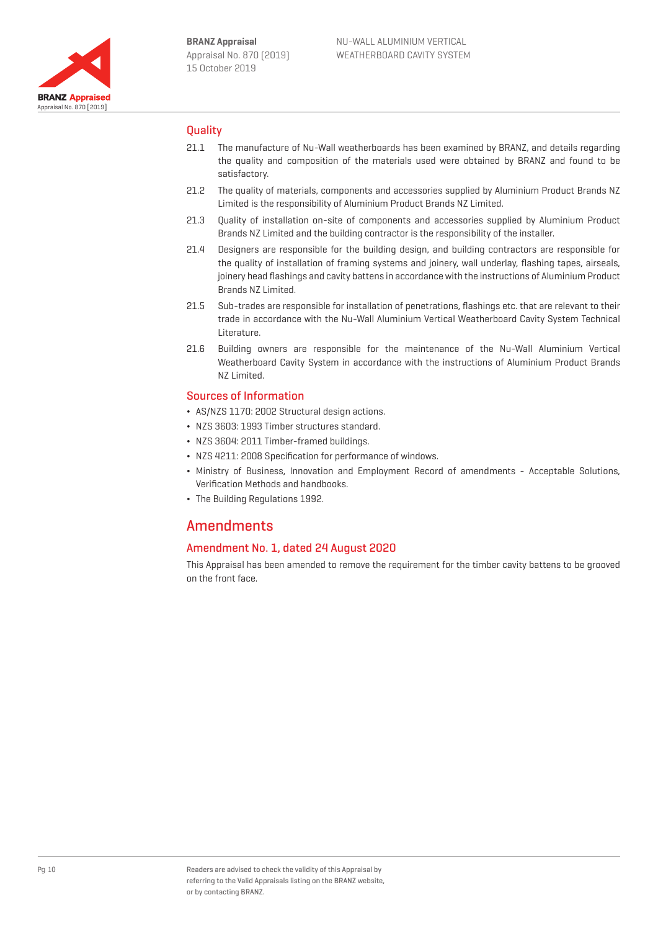

# **Ouality**

- 21.1 The manufacture of Nu-Wall weatherboards has been examined by BRANZ, and details regarding the quality and composition of the materials used were obtained by BRANZ and found to be satisfactory.
- 21.2 The quality of materials, components and accessories supplied by Aluminium Product Brands NZ Limited is the responsibility of Aluminium Product Brands NZ Limited.
- 21.3 Quality of installation on-site of components and accessories supplied by Aluminium Product Brands NZ Limited and the building contractor is the responsibility of the installer.
- 21.4 Designers are responsible for the building design, and building contractors are responsible for the quality of installation of framing systems and joinery, wall underlay, flashing tapes, airseals, joinery head flashings and cavity battens in accordance with the instructions of Aluminium Product Brands NZ Limited.
- 21.5 Sub-trades are responsible for installation of penetrations, flashings etc. that are relevant to their trade in accordance with the Nu-Wall Aluminium Vertical Weatherboard Cavity System Technical Literature.
- 21.6 Building owners are responsible for the maintenance of the Nu-Wall Aluminium Vertical Weatherboard Cavity System in accordance with the instructions of Aluminium Product Brands NZ Limited.

# Sources of Information

- ¬ AS/NZS 1170: 2002 Structural design actions.
- ¬ NZS 3603: 1993 Timber structures standard.
- ¬ NZS 3604: 2011 Timber-framed buildings.
- ¬ NZS 4211: 2008 Specification for performance of windows.
- ¬ Ministry of Business, Innovation and Employment Record of amendments Acceptable Solutions, Verification Methods and handbooks.
- ¬ The Building Regulations 1992.

# **Amendments**

# Amendment No. 1, dated 24 August 2020

This Appraisal has been amended to remove the requirement for the timber cavity battens to be grooved on the front face.